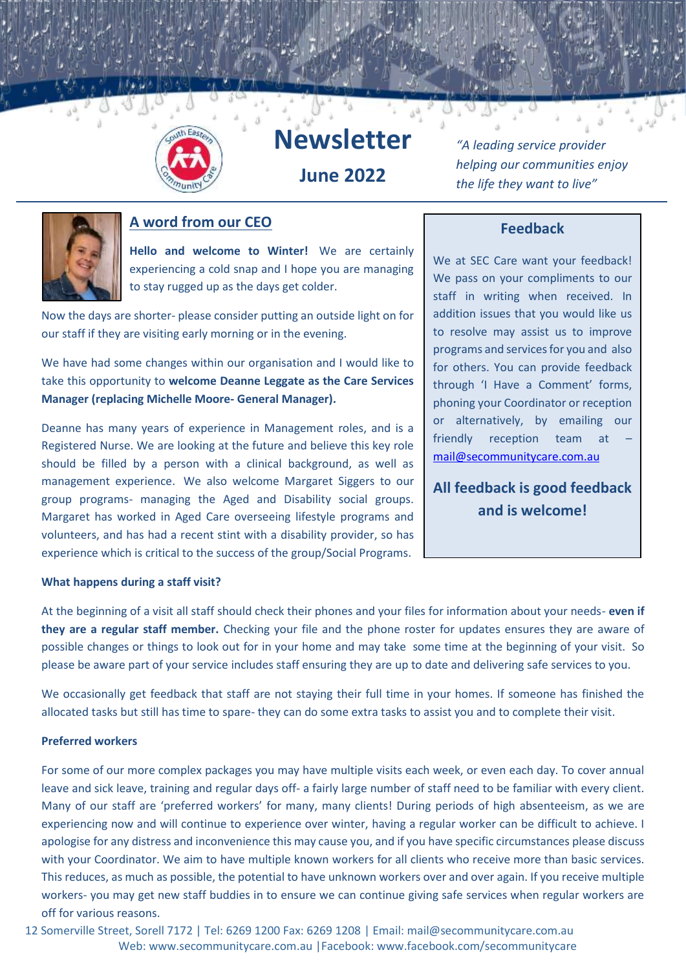

# **Newsletter**

**June 2022**

*"A leading service provider helping our communities enjoy the life they want to live"*



#### **A word from our CEO**

**Hello and welcome to Winter!** We are certainly experiencing a cold snap and I hope you are managing to stay rugged up as the days get colder.

Now the days are shorter- please consider putting an outside light on for our staff if they are visiting early morning or in the evening.

We have had some changes within our organisation and I would like to take this opportunity to **welcome Deanne Leggate as the Care Services Manager (replacing Michelle Moore- General Manager).** 

Deanne has many years of experience in Management roles, and is a Registered Nurse. We are looking at the future and believe this key role should be filled by a person with a clinical background, as well as management experience. We also welcome Margaret Siggers to our group programs- managing the Aged and Disability social groups. Margaret has worked in Aged Care overseeing lifestyle programs and volunteers, and has had a recent stint with a disability provider, so has experience which is critical to the success of the group/Social Programs.

#### **Feedback**

We at SEC Care want your feedback! We pass on your compliments to our staff in writing when received. In addition issues that you would like us to resolve may assist us to improve programs and services for you and also for others. You can provide feedback through 'I Have a Comment' forms, phoning your Coordinator or reception or alternatively, by emailing our friendly reception team at [mail@secommunitycare.com.au](mailto:mail@secommunitycare.com.au)

**All feedback is good feedback and is welcome!**

#### **What happens during a staff visit?**

At the beginning of a visit all staff should check their phones and your files for information about your needs- **even if they are a regular staff member.** Checking your file and the phone roster for updates ensures they are aware of possible changes or things to look out for in your home and may take some time at the beginning of your visit. So please be aware part of your service includes staff ensuring they are up to date and delivering safe services to you.

We occasionally get feedback that staff are not staying their full time in your homes. If someone has finished the allocated tasks but still has time to spare- they can do some extra tasks to assist you and to complete their visit.

#### **Preferred workers**

For some of our more complex packages you may have multiple visits each week, or even each day. To cover annual leave and sick leave, training and regular days off- a fairly large number of staff need to be familiar with every client. Many of our staff are 'preferred workers' for many, many clients! During periods of high absenteeism, as we are experiencing now and will continue to experience over winter, having a regular worker can be difficult to achieve. I apologise for any distress and inconvenience this may cause you, and if you have specific circumstances please discuss with your Coordinator. We aim to have multiple known workers for all clients who receive more than basic services. This reduces, as much as possible, the potential to have unknown workers over and over again. If you receive multiple workers- you may get new staff buddies in to ensure we can continue giving safe services when regular workers are off for various reasons.

12 Somerville Street, Sorell 7172 | Tel: 6269 1200 Fax: 6269 1208 | Email: mail@secommunitycare.com.au Web: www.secommunitycare.com.au |Facebook: www.facebook.com/secommunitycare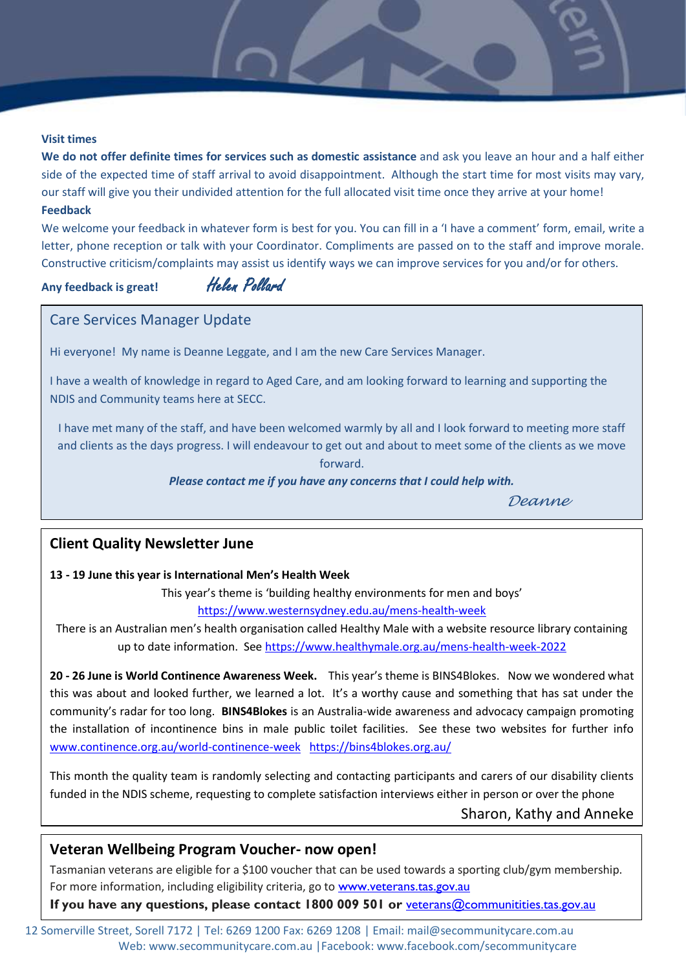#### **Visit times**

**We do not offer definite times for services such as domestic assistance** and ask you leave an hour and a half either side of the expected time of staff arrival to avoid disappointment. Although the start time for most visits may vary, our staff will give you their undivided attention for the full allocated visit time once they arrive at your home!

#### **Feedback**

We welcome your feedback in whatever form is best for you. You can fill in a 'I have a comment' form, email, write a letter, phone reception or talk with your Coordinator. Compliments are passed on to the staff and improve morale. Constructive criticism/complaints may assist us identify ways we can improve services for you and/or for others.

**Any feedback is great!** Helen Pollard

#### Care Services Manager Update

Hi everyone! My name is Deanne Leggate, and I am the new Care Services Manager.

I have a wealth of knowledge in regard to Aged Care, and am looking forward to learning and supporting the NDIS and Community teams here at SECC.

I have met many of the staff, and have been welcomed warmly by all and I look forward to meeting more staff and clients as the days progress. I will endeavour to get out and about to meet some of the clients as we move

forward.

#### *Please contact me if you have any concerns that I could help with.*

*Deanne*

#### **Client Quality Newsletter June**

#### **13 - 19 June this year is International Men's Health Week**

This year's theme is 'building healthy environments for men and boys'

<https://www.westernsydney.edu.au/mens-health-week>

There is an Australian men's health organisation called Healthy Male with a website resource library containing up to date information. See<https://www.healthymale.org.au/mens-health-week-2022>

**20 - 26 June is World Continence Awareness Week.** This year's theme is BINS4Blokes. Now we wondered what this was about and looked further, we learned a lot. It's a worthy cause and something that has sat under the community's radar for too long. **BINS4Blokes** is an Australia-wide awareness and advocacy campaign promoting the installation of incontinence bins in male public toilet facilities. See these two websites for further info [www.continence.org.au/world-continence-week](http://www.continence.org.au/world-continence-week) <https://bins4blokes.org.au/>

This month the quality team is randomly selecting and contacting participants and carers of our disability clients funded in the NDIS scheme, requesting to complete satisfaction interviews either in person or over the phone

Sharon, Kathy and Anneke

#### **Veteran Wellbeing Program Voucher- now open!**

Tasmanian veterans are eligible for a \$100 voucher that can be used towards a sporting club/gym membership. For more information, including eligibility criteria, go to [www.veterans.tas.gov.au](https://www.communities.tas.gov.au/csr/for_and_about/veterans)

**If you have any questions, please contact 1800 009 501 or** [veterans@communitities.tas.gov.au](file:///C:/Users/efeltham/AppData/Local/Microsoft/Windows/INetCache/Content.Outlook/WTH967FM/veterans@communitities.tas.gov.au)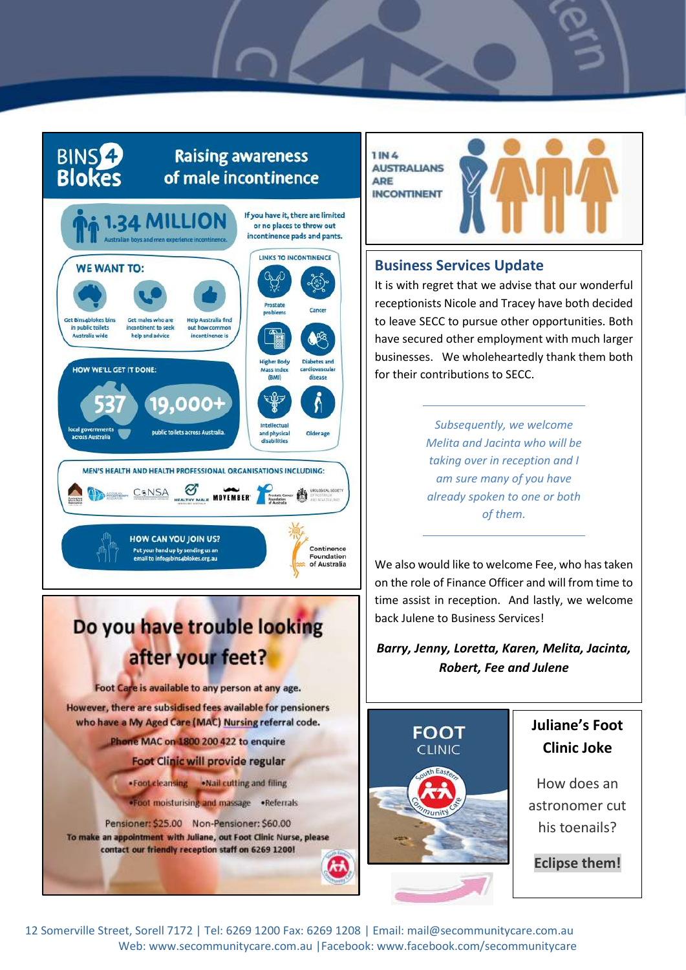### BINS<sup>2</sup> **Blokes**

### **Raising awareness** of male incontinence



## Do you have trouble looking after your feet?

Foot Care is available to any person at any age.

However, there are subsidised fees available for pensioners who have a My Aged Care (MAC) Nursing referral code.

Phone MAC on 1800 200 422 to enquire

- Foot Clinic will provide regular
- . Foot cleansing . Nail cutting and filing

.Foot moisturising and massage .Referrals

Pensioner: \$25.00 Non-Pensioner: \$60.00 To make an appointment with Juliane, out Foot Clinic Nurse, please contact our friendly reception staff on 6269 1200!

**1 IN 4 AUSTRALIANS** ARE **INCONTINENT** 



#### **Business Services Update**

It is with regret that we advise that our wonderful receptionists Nicole and Tracey have both decided to leave SECC to pursue other opportunities. Both have secured other employment with much larger businesses. We wholeheartedly thank them both for their contributions to SECC.

> *Subsequently, we welcome Melita and Jacinta who will be taking over in reception and I am sure many of you have already spoken to one or both of them.*

We also would like to welcome Fee, who has taken on the role of Finance Officer and will from time to time assist in reception. And lastly, we welcome back Julene to Business Services!

*Barry, Jenny, Loretta, Karen, Melita, Jacinta, Robert, Fee and Julene*



### **Juliane's Foot Clinic Joke**

How does an astronomer cut his toenails?

**Eclipse them!**

12 Somerville Street, Sorell 7172 | Tel: 6269 1200 Fax: 6269 1208 | Email: mail@secommunitycare.com.au Web: www.secommunitycare.com.au |Facebook: www.facebook.com/secommunitycare